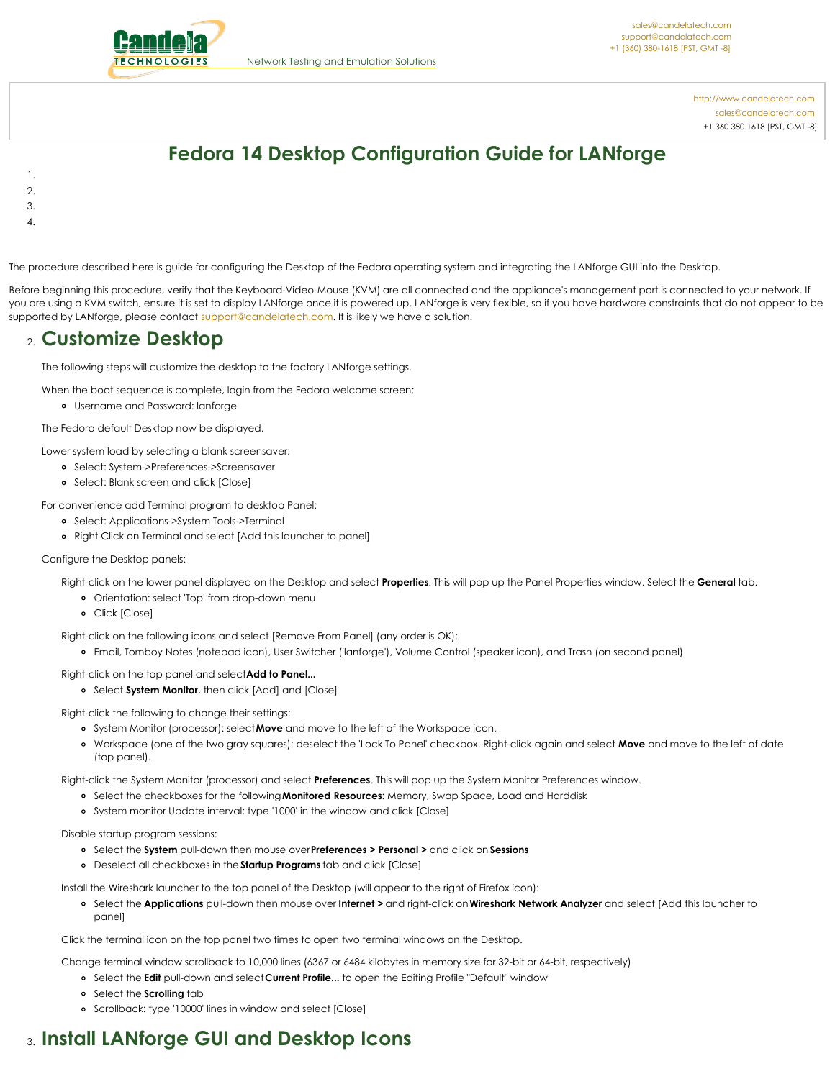

<http://www.candelatech.com> [sales@candelatech.com](mailto:sales@candelatech.com) +1 360 380 1618 [PST, GMT -8]

# **Fedora 14 Desktop Configuration Guide for LANforge**

- 1.
- 2.
- 3.
- 4.

The procedure described here is guide for configuring the Desktop of the Fedora operating system and integrating the LANforge GUI into the Desktop.

Before beginning this procedure, verify that the Keyboard-Video-Mouse (KVM) are all connected and the appliance's management port is connected to your network. If you are using a KVM switch, ensure it is set to display LANforge once it is powered up. LANforge is very flexible, so if you have hardware constraints that do not appear to be supported by LANforge, please contact [support@candelatech.com](mailto:sales@candelatech.com). It is likely we have a solution!

### 2. **Customize Desktop**

The following steps will customize the desktop to the factory LANforge settings.

When the boot sequence is complete, login from the Fedora welcome screen:

Username and Password: lanforge

The Fedora default Desktop now be displayed.

Lower system load by selecting a blank screensaver:

- Select: System->Preferences->Screensaver
- Select: Blank screen and click [Close]

For convenience add Terminal program to desktop Panel:

- Select: Applications->System Tools->Terminal
- Right Click on Terminal and select [Add this launcher to panel]

#### Configure the Desktop panels:

Right-click on the lower panel displayed on the Desktop and select **Properties**. This will pop up the Panel Properties window. Select the **General** tab.

- Orientation: select 'Top' from drop-down menu
- Click [Close]

Right-click on the following icons and select [Remove From Panel] (any order is OK):

- Email, Tomboy Notes (notepad icon), User Switcher ('lanforge'), Volume Control (speaker icon), and Trash (on second panel)
- Right-click on the top panel and select**Add to Panel...**
	- Select **System Monitor**, then click [Add] and [Close]

Right-click the following to change their settings:

- System Monitor (processor): select**Move** and move to the left of the Workspace icon.
- Workspace (one of the two gray squares): deselect the 'Lock To Panel' checkbox. Right-click again and select **Move** and move to the left of date (top panel).

Right-click the System Monitor (processor) and select **Preferences**. This will pop up the System Monitor Preferences window.

- Select the checkboxes for the following**Monitored Resources**: Memory, Swap Space, Load and Harddisk
- System monitor Update interval: type '1000' in the window and click [Close]

#### Disable startup program sessions:

- Select the **System** pull-down then mouse over**Preferences > Personal >** and click on **Sessions**
- Deselect all checkboxes in the **Startup Programs** tab and click [Close]

Install the Wireshark launcher to the top panel of the Desktop (will appear to the right of Firefox icon):

Select the **Applications** pull-down then mouse over **Internet >** and right-click on**Wireshark Network Analyzer** and select [Add this launcher to panel]

Click the terminal icon on the top panel two times to open two terminal windows on the Desktop.

Change terminal window scrollback to 10,000 lines (6367 or 6484 kilobytes in memory size for 32-bit or 64-bit, respectively)

- Select the **Edit** pull-down and select**Current Profile...** to open the Editing Profile "Default" window
- o Select the **Scrolling** tab
- o Scrollback: type '10000' lines in window and select [Close]

## 3. **Install LANforge GUI and Desktop Icons**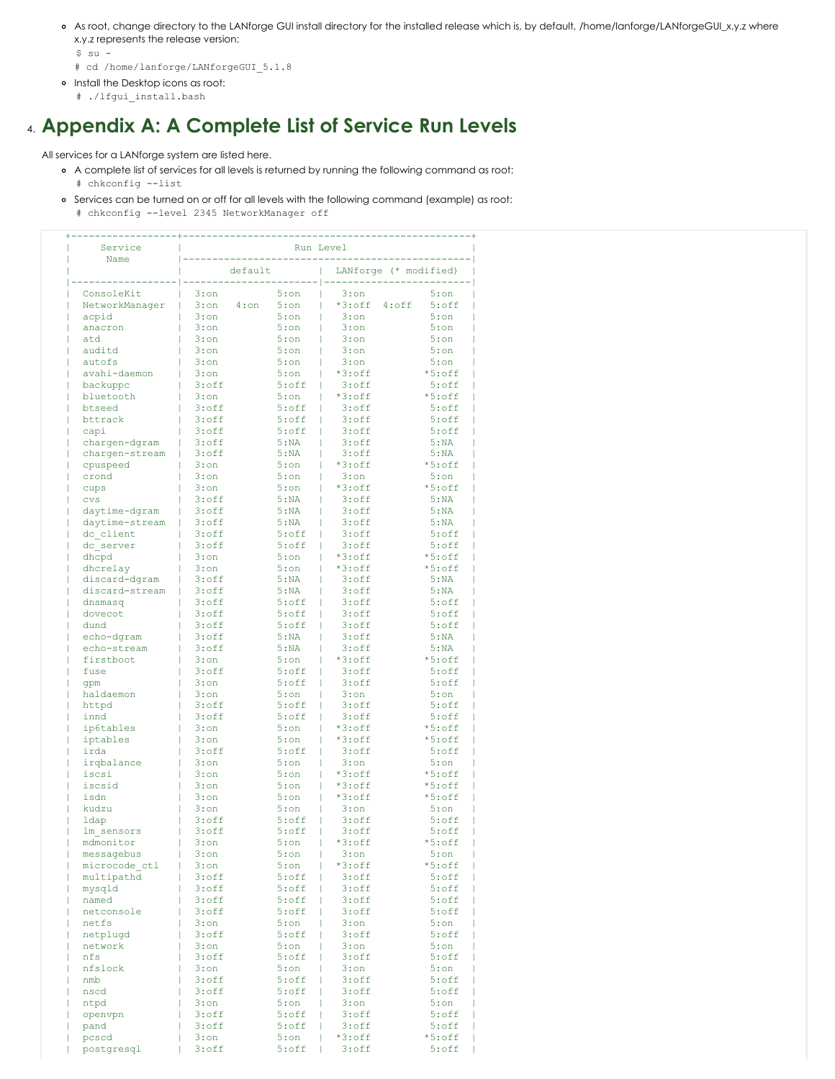- As root, change directory to the LANforge GUI install directory for the installed release which is, by default, /home/lanforge/LANforgeGUI\_x.y.z where x.y.z represents the release version:
	- \$ su -
	- # cd /home/lanforge/LANforgeGUI\_5.1.8
- o Install the Desktop icons as root:
	- # ./lfgui\_install.bash

### 4. **Appendix A: A Complete List of Service Run Levels**

All services for a LANforge system are listed here.

- A complete list of services for all levels is returned by running the following command as root:
	- # chkconfig --list
	- Services can be turned on or off for all levels with the following command (example) as root: # chkconfig --level 2345 NetworkManager off

| Service<br>Name | Run Level          |             |                               |             |  |
|-----------------|--------------------|-------------|-------------------------------|-------------|--|
|                 | default            |             | LANforge (* modified)         |             |  |
| ConsoleKit      | $3:$ on            | 5:on        | $3:$ on                       | $5:$ on     |  |
| NetworkManager  | $3:$ on<br>$4:$ on | 5:on        | $*3:$ off<br>$4:$ of $f$<br>Т | $5:$ off    |  |
| acpid           | $3:$ on            | 5:on        | $3:$ on                       | 5:on        |  |
| anacron         | $3:$ on            | $5:$ on     | $3:$ on                       | $5:$ on     |  |
| atd             | $3:$ on            | 5:on        | $3:$ on                       | 5:on        |  |
| auditd          | $3:$ on            | 5:on        | $3:$ on                       | 5:on        |  |
| autofs          | $3:$ on            | 5:on        | $3:$ on                       | 5:on        |  |
| avahi-daemon    | $3:$ on            | 5:on        | $*3:$ off                     | $*5:$ off   |  |
| backuppc        | $3:$ of $f$        | $5:$ of $f$ | $3:$ off<br>Т                 | $5:$ of $f$ |  |
| bluetooth       | $3:$ on            | 5:on        | $*3:$ off                     | $*5:$ off   |  |
| btseed          | $3:$ of $f$        | $5:$ of $f$ | $3:$ of $f$                   | $5:$ of $f$ |  |
| bttrack         | $3:$ of $f$        | $5:$ of $f$ | $3:$ of $f$                   | $5:$ off    |  |
| capi            | $3:$ of $f$        | $5:$ of $f$ | $3:$ of $f$<br>L              | $5:$ off    |  |
| chargen-dgram   | $3:$ of $f$        | 5:NA        | $3:$ of $f$                   | 5:NA        |  |
| chargen-stream  | $3:$ of $f$        | 5:NA        | $3:$ of $f$                   | 5:NA        |  |
| cpuspeed        | $3:$ on            | 5:on        | $*3:$ off                     | $*5:$ off   |  |
| crond           | $3:$ on            | 5:on        | $3:$ on                       | 5:on        |  |
| cups            | $3:$ on            | 5:on        | $*3:$ off                     | $*5:$ off   |  |
| <b>CVS</b>      | $3:$ of $f$        | 5:NA        | $3:$ of $f$                   | 5:NA        |  |
| daytime-dgram   | $3:$ of $f$        | 5:NA        | $3:$ of $f$                   | 5:NA        |  |
| daytime-stream  | $3:$ of $f$        | 5:NA        | $3:$ of $f$                   | 5:NA        |  |
| dc client       | $3:$ of $f$        | $5:$ of $f$ | $3:$ of $f$<br>L              | $5:$ of $f$ |  |
| dc server       | $3:$ of $f$        | $5:$ of $f$ | $3:$ of $f$<br>L              | $5:$ off    |  |
| dhcpd           | $3:$ on            | 5:on        | $*3:$ off                     | $*5:$ of f  |  |
| dhcrelay        | $3:$ on            | 5:on        | $*3:$ off                     | $*5:$ of f  |  |
| discard-dgram   | $3:$ of $f$        | 5:NA        | $3:$ of $f$                   | 5:NA        |  |
| discard-stream  | $3:$ of $f$        | 5:NA        | $3:$ of $f$                   | 5:NA        |  |
| dnsmasq         | $3:$ of $f$        | $5:$ off    | $3:$ of $f$<br>L              | $5:$ off    |  |
| dovecot         | $3:$ of $f$        | $5:$ off    | $3:$ of $f$<br>$\mathbf{L}$   | $5:$ of $f$ |  |
| dund            | $3:$ of $f$        | $5:$ of $f$ | $3:$ of $f$                   | $5:$ of $f$ |  |
| echo-dqram      | $3:$ of $f$        | 5:NA        | $3:$ of $f$                   | 5:NA        |  |
| echo-stream     | $3:$ of $f$        | 5:NA        | $3:$ of $f$                   | 5:NA        |  |
| firstboot       | $3:$ on            | 5:on        | T<br>$*3:$ off                | $*5:$ off   |  |
| fuse            | $3:$ of $f$        | $5:$ of $f$ | $3:$ of $f$<br>L              | $5:$ off    |  |
| qpm             | $3:$ on            | $5:$ off    | $3:$ of $f$                   | $5:$ of $f$ |  |
| haldaemon       | $3:$ on            | 5:on        | $3:$ on                       | 5:on        |  |
| httpd           | $3:$ of $f$        | $5:$ of $f$ | $3:$ of $f$                   | $5:$ of $f$ |  |
| innd            | $3:$ of $f$        | $5:$ of $f$ | $3:$ of $f$<br>L              | $5:$ of $f$ |  |
| ip6tables       | $3:$ on            | 5:on        | $*3:$ off                     | $*5:$ off   |  |
| iptables        | $3:$ on            | 5:on        | $*3:$ off                     | $*5:$ off   |  |
| irda            | $3:$ of $f$        | $5:$ of $f$ | $3:$ of $f$                   | $5:$ of $f$ |  |
| irqbalance      | $3:$ on            | 5:on        | $3:$ on                       | 5:on        |  |
| iscsi           | $3:$ on            | 5:on        | $*3:$ off                     | $*5:$ off   |  |
| iscsid          | $3:$ on            | 5:on        | $*3:$ off                     | $*5:$ off   |  |
| isdn            | $3:$ on            | 5:on        | $*3:$ off                     | $*5:$ off   |  |
| kudzu           | $3:$ on            | 5:on        | $3:$ on                       | 5:on        |  |
|                 |                    |             |                               |             |  |
| ldap            | $3:$ of $f$        | $5:$ of $f$ | $3:$ of $f$                   | $5:$ of $f$ |  |
| lm sensors      | $3:$ off           | $5:$ off    | $3:$ of $f$<br>T              | $5:$ off    |  |
| mdmonitor       | $3:$ on            | $5:$ on     | *3:off                        | $*5:$ off   |  |
| messagebus      | 3:on               | $5:$ on     | $3:$ on                       | $5:$ on     |  |
| microcode ctl   | $3:$ on            | $5:$ on     | *3:off                        | *5:off      |  |
| multipathd      | $3:$ off           | $5:$ off    | $3:$ of $f$                   | $5:$ off    |  |
| mysqld          | $3:$ off           | $5:$ of $f$ | $3:$ off                      | 5:off       |  |
| named           | $3:$ off           | $5:$ of $f$ | $3:$ of $f$                   | $5:$ off    |  |
| netconsole      | $3:$ off           | $5:$ off    | $3:$ of $f$                   | $5:$ off    |  |
| netfs           | $3:$ on            | 5:on        | $3:$ on                       | $5:$ on     |  |
| netplugd        | $3:$ off           | $5:$ off    | $3:$ of $f$                   | $5:$ off    |  |
| network         | $3:$ on            | 5:on        | $3:$ on                       | $5:$ on     |  |
| nfs             | $3:$ off           | $5:$ off    | $3:$ of $f$                   | $5:$ off    |  |
| nfslock         | $3:$ on            | 5:on        | $3:$ on                       | 5:on        |  |
| nmb             | $3:$ off           | $5:$ off    | $3:$ off                      | 5:off       |  |
| nscd            | $3:$ off           | $5:$ off    | $3:$ of $f$                   | $5:$ off    |  |
| ntpd            | $3:$ on            | $5:$ on     | $3:$ on                       | $5:$ on     |  |
| openvpn         | 3:off              | $5:$ off    | $3:$ of $f$                   | $5:$ off    |  |
| pand            | $3:$ off           | $5:$ off    | $3:$ of $f$                   | $5:$ off    |  |
| pcscd           | $3:$ on            | $5:$ on     | *3:off                        | *5:off      |  |
| postgresql      | $3:$ off           | $5:$ off    | $3:$ off                      | 5:off       |  |
|                 |                    |             |                               |             |  |